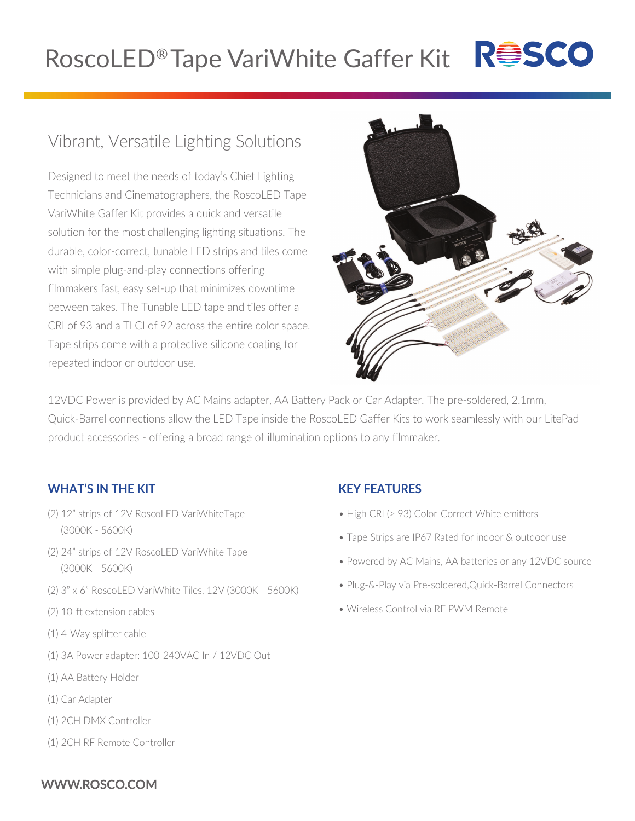# RoscoLED® Tape VariWhite Gaffer Kit R<sup>esco</sup>

# Vibrant, Versatile Lighting Solutions

Designed to meet the needs of today's Chief Lighting Technicians and Cinematographers, the RoscoLED Tape VariWhite Gaffer Kit provides a quick and versatile solution for the most challenging lighting situations. The durable, color-correct, tunable LED strips and tiles come with simple plug-and-play connections offering filmmakers fast, easy set-up that minimizes downtime between takes. The Tunable LED tape and tiles offer a CRI of 93 and a TLCI of 92 across the entire color space. Tape strips come with a protective silicone coating for repeated indoor or outdoor use.



12VDC Power is provided by AC Mains adapter, AA Battery Pack or Car Adapter. The pre-soldered, 2.1mm, Quick-Barrel connections allow the LED Tape inside the RoscoLED Gaffer Kits to work seamlessly with our LitePad product accessories - offering a broad range of illumination options to any filmmaker.

## **WHAT'S IN THE KIT**

- (2) 12" strips of 12V RoscoLED VariWhiteTape (3000K - 5600K)
- (2) 24" strips of 12V RoscoLED VariWhite Tape (3000K - 5600K)
- (2) 3" x 6" RoscoLED VariWhite Tiles, 12V (3000K 5600K)
- (2) 10-ft extension cables
- (1) 4-Way splitter cable
- (1) 3A Power adapter: 100-240VAC In / 12VDC Out
- (1) AA Battery Holder
- (1) Car Adapter
- (1) 2CH DMX Controller
- (1) 2CH RF Remote Controller

#### **KEY FEATURES**

- High CRI (> 93) Color-Correct White emitters
- Tape Strips are IP67 Rated for indoor & outdoor use
- Powered by AC Mains, AA batteries or any 12VDC source
- Plug-&-Play via Pre-soldered,Quick-Barrel Connectors
- Wireless Control via RF PWM Remote

#### WWW.ROSCO.COM